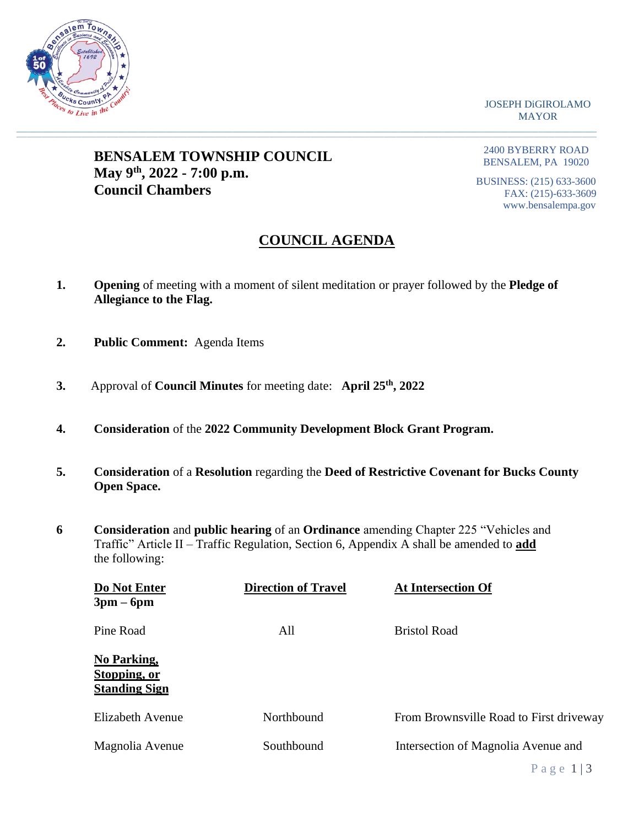

JOSEPH DiGIROLAMO MAYOR

## **BENSALEM TOWNSHIP COUNCIL May 9th, 2022 - 7:00 p.m. Council Chambers**

2400 BYBERRY ROAD BENSALEM, PA 19020

BUSINESS: (215) 633-3600 FAX: (215)-633-3609 www.bensalempa.gov

# **COUNCIL AGENDA**

**1. Opening** of meeting with a moment of silent meditation or prayer followed by the **Pledge of Allegiance to the Flag.**

 $\_$  , and the set of the set of the set of the set of the set of the set of the set of the set of the set of the set of the set of the set of the set of the set of the set of the set of the set of the set of the set of th

- **2. Public Comment:** Agenda Items
- **3.** Approval of **Council Minutes** for meeting date: **April 25th , 2022**
- **4. Consideration** of the **2022 Community Development Block Grant Program.**
- **5. Consideration** of a **Resolution** regarding the **Deed of Restrictive Covenant for Bucks County Open Space.**
- **6 Consideration** and **public hearing** of an **Ordinance** amending Chapter 225 "Vehicles and Traffic" Article II – Traffic Regulation, Section 6, Appendix A shall be amended to **add** the following:

| Do Not Enter<br>$3pm-6pm$                           | <b>Direction of Travel</b> | <b>At Intersection Of</b>               |
|-----------------------------------------------------|----------------------------|-----------------------------------------|
| Pine Road                                           | All                        | <b>Bristol Road</b>                     |
| No Parking,<br>Stopping, or<br><b>Standing Sign</b> |                            |                                         |
| Elizabeth Avenue                                    | Northbound                 | From Brownsville Road to First driveway |
| Magnolia Avenue                                     | Southbound                 | Intersection of Magnolia Avenue and     |
|                                                     |                            | Page $1/3$                              |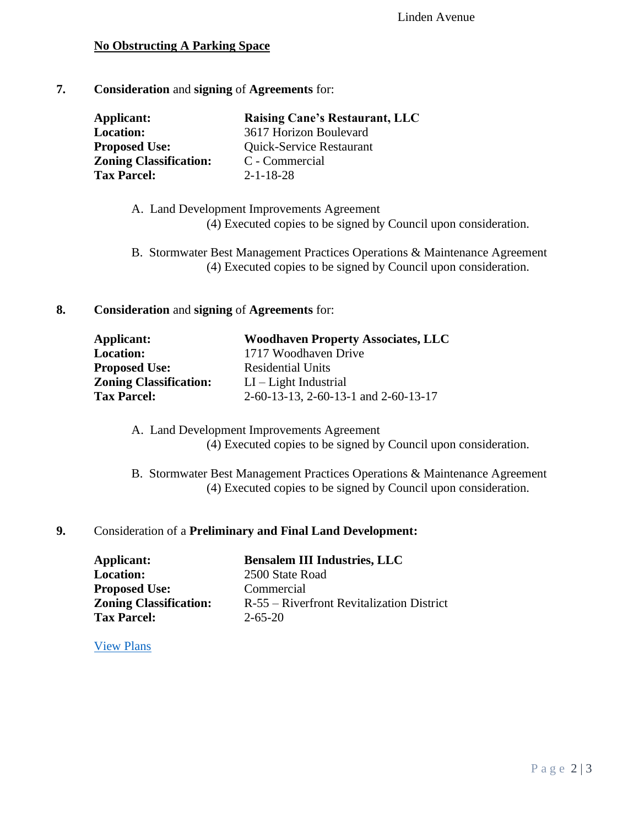### **No Obstructing A Parking Space**

#### **7. Consideration** and **signing** of **Agreements** for:

| Applicant:                    | <b>Raising Cane's Restaurant, LLC</b> |
|-------------------------------|---------------------------------------|
| <b>Location:</b>              | 3617 Horizon Boulevard                |
| <b>Proposed Use:</b>          | Quick-Service Restaurant              |
| <b>Zoning Classification:</b> | C - Commercial                        |
| <b>Tax Parcel:</b>            | $2 - 1 - 18 - 28$                     |

- A. Land Development Improvements Agreement (4) Executed copies to be signed by Council upon consideration.
- B. Stormwater Best Management Practices Operations & Maintenance Agreement (4) Executed copies to be signed by Council upon consideration.

#### **8. Consideration** and **signing** of **Agreements** for:

| <b>Woodhaven Property Associates, LLC</b> |
|-------------------------------------------|
| 1717 Woodhaven Drive                      |
| <b>Residential Units</b>                  |
| $LI - Light Industrial$                   |
| 2-60-13-13, 2-60-13-1 and 2-60-13-17      |
|                                           |

- A. Land Development Improvements Agreement (4) Executed copies to be signed by Council upon consideration.
- B. Stormwater Best Management Practices Operations & Maintenance Agreement (4) Executed copies to be signed by Council upon consideration.

#### **9.** Consideration of a **Preliminary and Final Land Development:**

| Applicant:                    | <b>Bensalem III Industries, LLC</b>       |
|-------------------------------|-------------------------------------------|
| <b>Location:</b>              | 2500 State Road                           |
| <b>Proposed Use:</b>          | Commercial                                |
| <b>Zoning Classification:</b> | R-55 – Riverfront Revitalization District |
| <b>Tax Parcel:</b>            | $2 - 65 - 20$                             |

[View Plans](https://www.bensalempa.gov/uploads/2/4/9/3/24936441/2500_state_road.pdf)